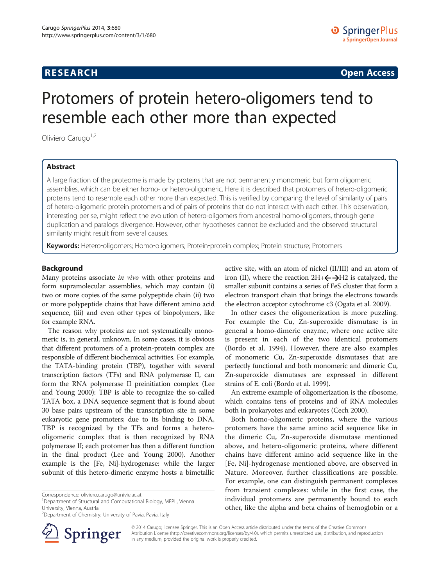# **RESEARCH RESEARCH CONSUMING ACCESS**

# Protomers of protein hetero-oligomers tend to resemble each other more than expected

Oliviero Carugo<sup>1,2</sup>

# Abstract

A large fraction of the proteome is made by proteins that are not permanently monomeric but form oligomeric assemblies, which can be either homo- or hetero-oligomeric. Here it is described that protomers of hetero-oligomeric proteins tend to resemble each other more than expected. This is verified by comparing the level of similarity of pairs of hetero-oligomeric protein protomers and of pairs of proteins that do not interact with each other. This observation, interesting per se, might reflect the evolution of hetero-oligomers from ancestral homo-oligomers, through gene duplication and paralogs divergence. However, other hypotheses cannot be excluded and the observed structural similarity might result from several causes.

Keywords: Hetero-oligomers; Homo-oligomers; Protein-protein complex; Protein structure; Protomers

# Background

Many proteins associate in vivo with other proteins and form supramolecular assemblies, which may contain (i) two or more copies of the same polypeptide chain (ii) two or more polypeptide chains that have different amino acid sequence, (iii) and even other types of biopolymers, like for example RNA.

The reason why proteins are not systematically monomeric is, in general, unknown. In some cases, it is obvious that different protomers of a protein-protein complex are responsible of different biochemical activities. For example, the TATA-binding protein (TBP), together with several transcription factors (TFs) and RNA polymerase II, can form the RNA polymerase II preinitiation complex (Lee and Young [2000](#page-7-0)): TBP is able to recognize the so-called TATA box, a DNA sequence segment that is found about 30 base pairs upstream of the transcription site in some eukaryotic gene promoters; due to its binding to DNA, TBP is recognized by the TFs and forms a heterooligomeric complex that is then recognized by RNA polymerase II; each protomer has then a different function in the final product (Lee and Young [2000\)](#page-7-0). Another example is the [Fe, Ni]-hydrogenase: while the larger subunit of this hetero-dimeric enzyme hosts a bimetallic

<sup>1</sup>Department of Structural and Computational Biology, MFPL, Vienna University, Vienna, Austria



In other cases the oligomerization is more puzzling. For example the Cu, Zn-superoxide dismutase is in general a homo-dimeric enzyme, where one active site is present in each of the two identical protomers (Bordo et al. [1994\)](#page-6-0). However, there are also examples of monomeric Cu, Zn-superoxide dismutases that are perfectly functional and both monomeric and dimeric Cu, Zn-superoxide dismutases are expressed in different strains of E. coli (Bordo et al. [1999](#page-6-0)).

An extreme example of oligomerization is the ribosome, which contains tens of proteins and of RNA molecules both in prokaryotes and eukaryotes (Cech [2000\)](#page-7-0).

Both homo-oligomeric proteins, where the various protomers have the same amino acid sequence like in the dimeric Cu, Zn-superoxide dismutase mentioned above, and hetero-oligomeric proteins, where different chains have different amino acid sequence like in the [Fe, Ni]-hydrogenase mentioned above, are observed in Nature. Moreover, further classifications are possible. For example, one can distinguish permanent complexes from transient complexes: while in the first case, the individual protomers are permanently bound to each other, like the alpha and beta chains of hemoglobin or a



© 2014 Carugo; licensee Springer. This is an Open Access article distributed under the terms of the Creative Commons Attribution License [\(http://creativecommons.org/licenses/by/4.0\)](http://creativecommons.org/licenses/by/4.0), which permits unrestricted use, distribution, and reproduction in any medium, provided the original work is properly credited.

Correspondence: [oliviero.carugo@univie.ac.at](mailto:oliviero.carugo@univie.ac.at) <sup>1</sup>

<sup>&</sup>lt;sup>2</sup>Department of Chemistry, University of Pavia, Pavia, Italy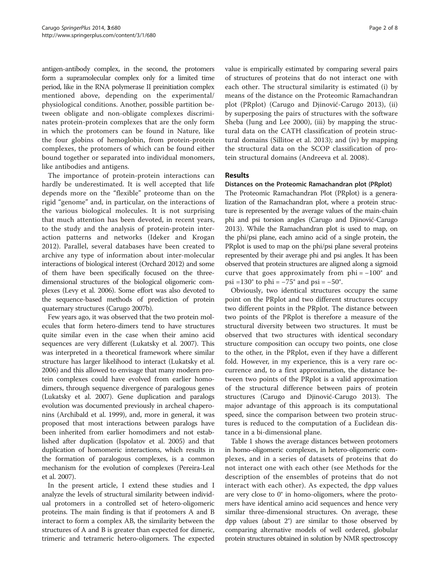antigen-antibody complex, in the second, the protomers form a supramolecular complex only for a limited time period, like in the RNA polymerase II preinitiation complex mentioned above, depending on the experimental/ physiological conditions. Another, possible partition between obligate and non-obligate complexes discriminates protein-protein complexes that are the only form in which the protomers can be found in Nature, like the four globins of hemoglobin, from protein-protein complexes, the protomers of which can be found either bound together or separated into individual monomers, like antibodies and antigens.

The importance of protein-protein interactions can hardly be underestimated. It is well accepted that life depends more on the "flexible" proteome than on the rigid "genome" and, in particular, on the interactions of the various biological molecules. It is not surprising that much attention has been devoted, in recent years, to the study and the analysis of protein-protein interaction patterns and networks (Ideker and Krogan [2012\)](#page-7-0). Parallel, several databases have been created to archive any type of information about inter-molecular interactions of biological interest (Orchard [2012\)](#page-7-0) and some of them have been specifically focused on the threedimensional structures of the biological oligomeric complexes (Levy et al. [2006\)](#page-7-0). Some effort was also devoted to the sequence-based methods of prediction of protein quaternary structures (Carugo [2007b](#page-7-0)).

Few years ago, it was observed that the two protein molecules that form hetero-dimers tend to have structures quite similar even in the case when their amino acid sequences are very different (Lukatsky et al. [2007](#page-7-0)). This was interpreted in a theoretical framework where similar structure has larger likelihood to interact (Lukatsky et al. [2006\)](#page-7-0) and this allowed to envisage that many modern protein complexes could have evolved from earlier homodimers, through sequence divergence of paralogous genes (Lukatsky et al. [2007](#page-7-0)). Gene duplication and paralogs evolution was documented previously in archeal chaperonins (Archibald et al. [1999](#page-6-0)), and, more in general, it was proposed that most interactions between paralogs have been inherited from earlier homodimers and not established after duplication (Ispolatov et al. [2005](#page-7-0)) and that duplication of homomeric interactions, which results in the formation of paralogous complexes, is a common mechanism for the evolution of complexes (Pereira-Leal et al. [2007](#page-7-0)).

In the present article, I extend these studies and I analyze the levels of structural similarity between individual protomers in a controlled set of hetero-oligomeric proteins. The main finding is that if protomers A and B interact to form a complex AB, the similarity between the structures of A and B is greater than expected for dimeric, trimeric and tetrameric hetero-oligomers. The expected value is empirically estimated by comparing several pairs of structures of proteins that do not interact one with each other. The structural similarity is estimated (i) by means of the distance on the Proteomic Ramachandran plot (PRplot) (Carugo and Djinović-Carugo [2013\)](#page-7-0), (ii) by superposing the pairs of structures with the software Sheba (Jung and Lee [2000\)](#page-7-0), (iii) by mapping the structural data on the CATH classification of protein structural domains (Sillitoe et al. [2013\)](#page-7-0); and (iv) by mapping the structural data on the SCOP classification of protein structural domains (Andreeva et al. [2008](#page-6-0)).

# Results

# Distances on the Proteomic Ramachandran plot (PRplot)

The Proteomic Ramachandran Plot (PRplot) is a generalization of the Ramachandran plot, where a protein structure is represented by the average values of the main-chain phi and psi torsion angles (Carugo and Djinović-Carugo [2013\)](#page-7-0). While the Ramachandran plot is used to map, on the phi/psi plane, each amino acid of a single protein, the PRplot is used to map on the phi/psi plane several proteins represented by their average phi and psi angles. It has been observed that protein structures are aligned along a sigmoid curve that goes approximately from  $phi = -100^\circ$  and psi =130° to phi =  $-75$ ° and psi =  $-50$ °.

Obviously, two identical structures occupy the same point on the PRplot and two different structures occupy two different points in the PRplot. The distance between two points of the PRplot is therefore a measure of the structural diversity between two structures. It must be observed that two structures with identical secondary structure composition can occupy two points, one close to the other, in the PRplot, even if they have a different fold. However, in my experience, this is a very rare occurrence and, to a first approximation, the distance between two points of the PRplot is a valid approximation of the structural difference between pairs of protein structures (Carugo and Djinović-Carugo [2013\)](#page-7-0). The major advantage of this approach is its computational speed, since the comparison between two protein structures is reduced to the computation of a Euclidean distance in a bi-dimensional plane.

Table [1](#page-2-0) shows the average distances between protomers in homo-oligomeric complexes, in hetero-oligomeric complexes, and in a series of datasets of proteins that do not interact one with each other (see [Methods](#page-5-0) for the description of the ensembles of proteins that do not interact with each other). As expected, the dpp values are very close to 0° in homo-oligomers, where the protomers have identical amino acid sequences and hence very similar three-dimensional structures. On average, these dpp values (about 2°) are similar to those observed by comparing alternative models of well ordered, globular protein structures obtained in solution by NMR spectroscopy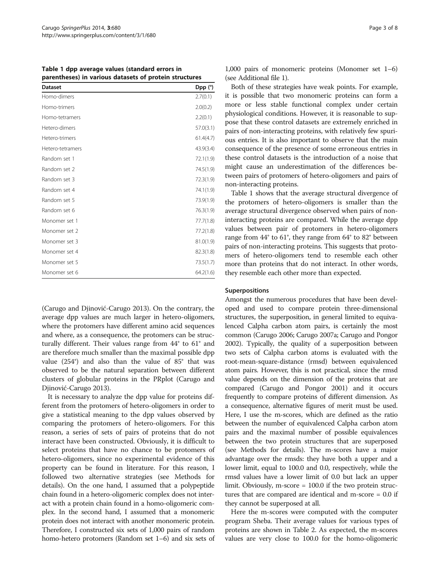<span id="page-2-0"></span>Table 1 dpp average values (standard errors in parentheses) in various datasets of protein structures

| <b>Dataset</b>   | Dpp (°)   |
|------------------|-----------|
| Homo-dimers      | 2.7(0.1)  |
| Homo-trimers     | 2.0(0.2)  |
| Homo-tetramers   | 2.2(0.1)  |
| Hetero-dimers    | 57.0(3.1) |
| Hetero-trimers   | 61.4(4.7) |
| Hetero-tetramers | 43.9(3.4) |
| Random set 1     | 72.1(1.9) |
| Random set 2     | 74.5(1.9) |
| Random set 3     | 72.3(1.9) |
| Random set 4     | 74.1(1.9) |
| Random set 5     | 73.9(1.9) |
| Random set 6     | 76.3(1.9) |
| Monomer set 1    | 77.7(1.8) |
| Monomer set 2    | 77.2(1.8) |
| Monomer set 3    | 81.0(1.9) |
| Monomer set 4    | 82.3(1.8) |
| Monomer set 5    | 73.5(1.7) |
| Monomer set 6    | 64.2(1.6) |

(Carugo and Djinović-Carugo [2013\)](#page-7-0). On the contrary, the average dpp values are much larger in hetero-oligomers, where the protomers have different amino acid sequences and where, as a consequence, the protomers can be structurally different. Their values range from 44° to 61° and are therefore much smaller than the maximal possible dpp value (254°) and also than the value of 85° that was observed to be the natural separation between different clusters of globular proteins in the PRplot (Carugo and Djinović-Carugo [2013\)](#page-7-0).

It is necessary to analyze the dpp value for proteins different from the protomers of hetero-oligomers in order to give a statistical meaning to the dpp values observed by comparing the protomers of hetero-oligomers. For this reason, a series of sets of pairs of proteins that do not interact have been constructed. Obviously, it is difficult to select proteins that have no chance to be protomers of hetero-oligomers, since no experimental evidence of this property can be found in literature. For this reason, I followed two alternative strategies (see [Methods](#page-5-0) for details). On the one hand, I assumed that a polypeptide chain found in a hetero-oligomeric complex does not interact with a protein chain found in a homo-oligomeric complex. In the second hand, I assumed that a monomeric protein does not interact with another monomeric protein. Therefore, I constructed six sets of 1,000 pairs of random homo-hetero protomers (Random set 1–6) and six sets of 1,000 pairs of monomeric proteins (Monomer set 1–6) (see Additional file [1](#page-6-0)).

Both of these strategies have weak points. For example, it is possible that two monomeric proteins can form a more or less stable functional complex under certain physiological conditions. However, it is reasonable to suppose that these control datasets are extremely enriched in pairs of non-interacting proteins, with relatively few spurious entries. It is also important to observe that the main consequence of the presence of some erroneous entries in these control datasets is the introduction of a noise that might cause an underestimation of the differences between pairs of protomers of hetero-oligomers and pairs of non-interacting proteins.

Table 1 shows that the average structural divergence of the protomers of hetero-oligomers is smaller than the average structural divergence observed when pairs of noninteracting proteins are compared. While the average dpp values between pair of protomers in hetero-oligomers range from 44° to 61°, they range from 64° to 82° between pairs of non-interacting proteins. This suggests that protomers of hetero-oligomers tend to resemble each other more than proteins that do not interact. In other words, they resemble each other more than expected.

## **Superpositions**

Amongst the numerous procedures that have been developed and used to compare protein three-dimensional structures, the superposition, in general limited to equivalenced Calpha carbon atom pairs, is certainly the most common (Carugo [2006;](#page-7-0) Carugo [2007a](#page-7-0); Carugo and Pongor [2002\)](#page-7-0). Typically, the quality of a superposition between two sets of Calpha carbon atoms is evaluated with the root-mean-square-distance (rmsd) between equivalenced atom pairs. However, this is not practical, since the rmsd value depends on the dimension of the proteins that are compared (Carugo and Pongor [2001\)](#page-7-0) and it occurs frequently to compare proteins of different dimension. As a consequence, alternative figures of merit must be used. Here, I use the m-scores, which are defined as the ratio between the number of equivalenced Calpha carbon atom pairs and the maximal number of possible equivalences between the two protein structures that are superposed (see [Methods](#page-5-0) for details). The m-scores have a major advantage over the rmsds: they have both a upper and a lower limit, equal to 100.0 and 0.0, respectively, while the rmsd values have a lower limit of 0.0 but lack an upper limit. Obviously, m-score = 100.0 if the two protein structures that are compared are identical and m-score = 0.0 if they cannot be superposed at all.

Here the m-scores were computed with the computer program Sheba. Their average values for various types of proteins are shown in Table [2](#page-3-0). As expected, the m-scores values are very close to 100.0 for the homo-oligomeric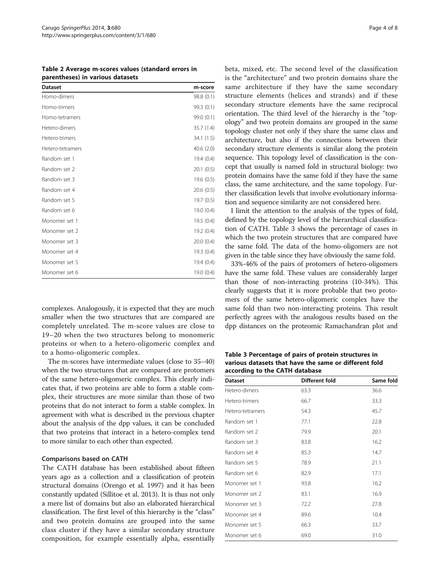<span id="page-3-0"></span>Table 2 Average m-scores values (standard errors in parentheses) in various datasets

| <b>Dataset</b>   | m-score    |
|------------------|------------|
| Homo-dimers      | 98.8 (0.1) |
| Homo-trimers     | 99.3 (0.1) |
| Homo-tetramers   | 99.0 (0.1) |
| Hetero-dimers    | 35.7 (1.4) |
| Hetero-trimers   | 34.1 (1.5) |
| Hetero-tetramers | 40.6(2.0)  |
| Random set 1     | 19.4(0.4)  |
| Random set 2     | 20.1(0.5)  |
| Random set 3     | 19.6 (0.5) |
| Random set 4     | 20.6(0.5)  |
| Random set 5     | 19.7 (0.5) |
| Random set 6     | 19.0 (0.4) |
| Monomer set 1    | 19.5 (0.4) |
| Monomer set 2    | 19.2 (0.4) |
| Monomer set 3    | 20.0(0.4)  |
| Monomer set 4    | 19.3 (0.4) |
| Monomer set 5    | 19.4(0.4)  |
| Monomer set 6    | 19.0 (0.4) |

complexes. Analogously, it is expected that they are much smaller when the two structures that are compared are completely unrelated. The m-score values are close to 19–20 when the two structures belong to monomeric proteins or when to a hetero-oligomeric complex and to a homo-oligomeric complex.

The m-scores have intermediate values (close to 35–40) when the two structures that are compared are protomers of the same hetero-oligomeric complex. This clearly indicates that, if two proteins are able to form a stable complex, their structures are more similar than those of two proteins that do not interact to form a stable complex. In agreement with what is described in the previous chapter about the analysis of the dpp values, it can be concluded that two proteins that interact in a hetero-complex tend to more similar to each other than expected.

## Comparisons based on CATH

The CATH database has been established about fifteen years ago as a collection and a classification of protein structural domains (Orengo et al. [1997\)](#page-7-0) and it has been constantly updated (Sillitoe et al. [2013](#page-7-0)). It is thus not only a mere list of domains but also an elaborated hierarchical classification. The first level of this hierarchy is the "class" and two protein domains are grouped into the same class cluster if they have a similar secondary structure composition, for example essentially alpha, essentially beta, mixed, etc. The second level of the classification is the "architecture" and two protein domains share the same architecture if they have the same secondary structure elements (helices and strands) and if these secondary structure elements have the same reciprocal orientation. The third level of the hierarchy is the "topology" and two protein domains are grouped in the same topology cluster not only if they share the same class and architecture, but also if the connections between their secondary structure elements is similar along the protein sequence. This topology level of classification is the concept that usually is named fold in structural biology: two protein domains have the same fold if they have the same class, the same architecture, and the same topology. Further classification levels that involve evolutionary information and sequence similarity are not considered here.

I limit the attention to the analysis of the types of fold, defined by the topology level of the hierarchical classification of CATH. Table 3 shows the percentage of cases in which the two protein structures that are compared have the same fold. The data of the homo-oligomers are not given in the table since they have obviously the same fold.

33%-46% of the pairs of protomers of hetero-oligomers have the same fold. These values are considerably larger than those of non-interacting proteins (10-34%). This clearly suggests that it is more probable that two protomers of the same hetero-oligomeric complex have the same fold than two non-interacting proteins. This result perfectly agrees with the analogous results based on the dpp distances on the proteomic Ramachandran plot and

Table 3 Percentage of pairs of protein structures in various datasets that have the same or different fold according to the CATH database

| <b>Dataset</b>   | Different fold | Same fold |
|------------------|----------------|-----------|
| Hetero-dimers    | 63.3           | 36.6      |
| Hetero-trimers   | 66.7           | 33.3      |
| Hetero-tetramers | 54.3           | 45.7      |
| Random set 1     | 77.1           | 22.8      |
| Random set 2     | 79.9           | 20.1      |
| Random set 3     | 83.8           | 16.2      |
| Random set 4     | 85.3           | 14.7      |
| Random set 5     | 78.9           | 21.1      |
| Random set 6     | 82.9           | 17.1      |
| Monomer set 1    | 93.8           | 16.2      |
| Monomer set 2    | 83.1           | 16.9      |
| Monomer set 3    | 72.2           | 27.8      |
| Monomer set 4    | 89.6           | 10.4      |
| Monomer set 5    | 66.3           | 33.7      |
| Monomer set 6    | 69.0           | 31.0      |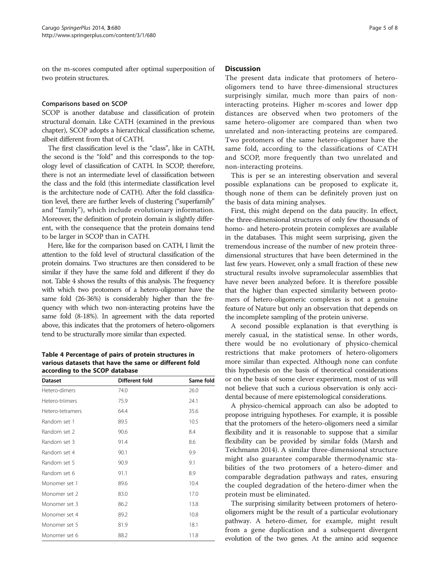on the m-scores computed after optimal superposition of two protein structures.

## Comparisons based on SCOP

SCOP is another database and classification of protein structural domain. Like CATH (examined in the previous chapter), SCOP adopts a hierarchical classification scheme, albeit different from that of CATH.

The first classification level is the "class", like in CATH, the second is the "fold" and this corresponds to the topology level of classification of CATH. In SCOP, therefore, there is not an intermediate level of classification between the class and the fold (this intermediate classification level is the architecture node of CATH). After the fold classification level, there are further levels of clustering ("superfamily" and "family"), which include evolutionary information. Moreover, the definition of protein domain is slightly different, with the consequence that the protein domains tend to be larger in SCOP than in CATH.

Here, like for the comparison based on CATH, I limit the attention to the fold level of structural classification of the protein domains. Two structures are then considered to be similar if they have the same fold and different if they do not. Table 4 shows the results of this analysis. The frequency with which two protomers of a hetero-oligomer have the same fold (26-36%) is considerably higher than the frequency with which two non-interacting proteins have the same fold (8-18%). In agreement with the data reported above, this indicates that the protomers of hetero-oligomers tend to be structurally more similar than expected.

Table 4 Percentage of pairs of protein structures in various datasets that have the same or different fold according to the SCOP database

| <b>Dataset</b>   | Different fold | Same fold |  |
|------------------|----------------|-----------|--|
| Hetero-dimers    | 74.0           | 26.0      |  |
| Hetero-triimers  | 75.9           | 24.1      |  |
| Hetero-tetramers | 64.4           | 35.6      |  |
| Random set 1     | 89.5           | 10.5      |  |
| Random set 2     | 90.6           | 8.4       |  |
| Random set 3     | 91.4           | 8.6       |  |
| Random set 4     | 90.1           | 9.9       |  |
| Random set 5     | 90.9           | 9.1       |  |
| Random set 6     | 91.1           | 8.9       |  |
| Monomer set 1    | 89.6           | 10.4      |  |
| Monomer set 2    | 83.0           | 17.0      |  |
| Monomer set 3    | 86.2           | 13.8      |  |
| Monomer set 4    | 89.2           | 10.8      |  |
| Monomer set 5    | 81.9           | 18.1      |  |
| Monomer set 6    | 88.2           | 11.8      |  |

# **Discussion**

The present data indicate that protomers of heterooligomers tend to have three-dimensional structures surprisingly similar, much more than pairs of noninteracting proteins. Higher m-scores and lower dpp distances are observed when two protomers of the same hetero-oligomer are compared than when two unrelated and non-interacting proteins are compared. Two protomers of the same hetero-oligomer have the same fold, according to the classifications of CATH and SCOP, more frequently than two unrelated and non-interacting proteins.

This is per se an interesting observation and several possible explanations can be proposed to explicate it, though none of them can be definitely proven just on the basis of data mining analyses.

First, this might depend on the data paucity. In effect, the three-dimensional structures of only few thousands of homo- and hetero-protein protein complexes are available in the databases. This might seem surprising, given the tremendous increase of the number of new protein threedimensional structures that have been determined in the last few years. However, only a small fraction of these new structural results involve supramolecular assemblies that have never been analyzed before. It is therefore possible that the higher than expected similarity between protomers of hetero-oligomeric complexes is not a genuine feature of Nature but only an observation that depends on the incomplete sampling of the protein universe.

A second possible explanation is that everything is merely casual, in the statistical sense. In other words, there would be no evolutionary of physico-chemical restrictions that make protomers of hetero-oligomers more similar than expected. Although none can confute this hypothesis on the basis of theoretical considerations or on the basis of some clever experiment, most of us will not believe that such a curious observation is only accidental because of mere epistemological considerations.

A physico-chemical approach can also be adopted to propose intriguing hypotheses. For example, it is possible that the protomers of the hetero-oligomers need a similar flexibility and it is reasonable to suppose that a similar flexibility can be provided by similar folds (Marsh and Teichmann [2014\)](#page-7-0). A similar three-dimensional structure might also guarantee comparable thermodynamic stabilities of the two protomers of a hetero-dimer and comparable degradation pathways and rates, ensuring the coupled degradation of the hetero-dimer when the protein must be eliminated.

The surprising similarity between protomers of heterooligomers might be the result of a particular evolutionary pathway. A hetero-dimer, for example, might result from a gene duplication and a subsequent divergent evolution of the two genes. At the amino acid sequence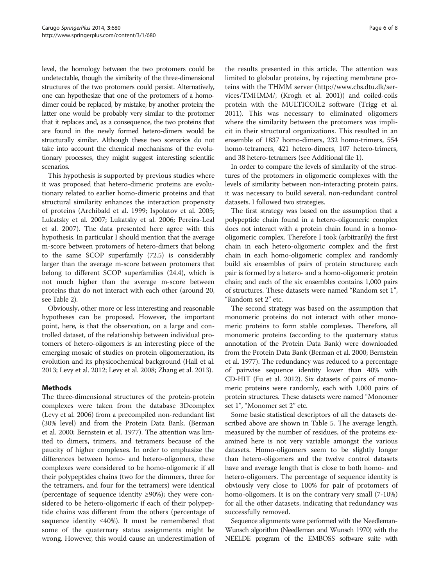<span id="page-5-0"></span>level, the homology between the two protomers could be undetectable, though the similarity of the three-dimensional structures of the two protomers could persist. Alternatively, one can hypothesize that one of the protomers of a homodimer could be replaced, by mistake, by another protein; the latter one would be probably very similar to the protomer that it replaces and, as a consequence, the two proteins that are found in the newly formed hetero-dimers would be structurally similar. Although these two scenarios do not take into account the chemical mechanisms of the evolutionary processes, they might suggest interesting scientific scenarios.

This hypothesis is supported by previous studies where it was proposed that hetero-dimeric proteins are evolutionary related to earlier homo-dimeric proteins and that structural similarity enhances the interaction propensity of proteins (Archibald et al. [1999](#page-6-0); Ispolatov et al. [2005](#page-7-0); Lukatsky et al. [2007;](#page-7-0) Lukatsky et al. [2006;](#page-7-0) Pereira-Leal et al. [2007](#page-7-0)). The data presented here agree with this hypothesis. In particular I should mention that the average m-score between protomers of hetero-dimers that belong to the same SCOP superfamily (72.5) is considerably larger than the average m-score between protomers that belong to different SCOP superfamilies (24.4), which is not much higher than the average m-score between proteins that do not interact with each other (around 20, see Table [2](#page-3-0)).

Obviously, other more or less interesting and reasonable hypotheses can be proposed. However, the important point, here, is that the observation, on a large and controlled dataset, of the relationship between individual protomers of hetero-oligomers is an interesting piece of the emerging mosaic of studies on protein oligomerzation, its evolution and its physicochemical background (Hall et al. [2013;](#page-7-0) Levy et al. [2012;](#page-7-0) Levy et al. [2008](#page-7-0); Zhang et al. [2013](#page-7-0)).

# Methods

The three-dimensional structures of the protein-protein complexes were taken from the database 3Dcomplex (Levy et al. [2006\)](#page-7-0) from a precompiled non-redundant list (30% level) and from the Protein Data Bank. (Berman et al. [2000](#page-6-0); Bernstein et al. [1977](#page-6-0)). The attention was limited to dimers, trimers, and tetramers because of the paucity of higher complexes. In order to emphasize the differences between homo- and hetero-oligomers, these complexes were considered to be homo-oligomeric if all their polypeptides chains (two for the dimmers, three for the tetramers, and four for the tetramers) were identical (percentage of sequence identity ≥90%); they were considered to be hetero-oligomeric if each of their polypeptide chains was different from the others (percentage of sequence identity  $\leq 40\%$ ). It must be remembered that some of the quaternary status assignments might be wrong. However, this would cause an underestimation of

the results presented in this article. The attention was limited to globular proteins, by rejecting membrane proteins with the THMM server [\(http://www.cbs.dtu.dk/ser](http://www.cbs.dtu.dk/services/TMHMM/)[vices/TMHMM/;](http://www.cbs.dtu.dk/services/TMHMM/) (Krogh et al. [2001\)](#page-7-0)) and coiled-coils protein with the MULTICOIL2 software (Trigg et al. [2011](#page-7-0)). This was necessary to eliminated oligomers where the similarity between the protomers was implicit in their structural organizations. This resulted in an ensemble of 1837 homo-dimers, 232 homo-trimers, 554 homo-tetramers, 421 hetero-dimers, 107 hetero-trimers, and 38 hetero-tetramers (see Additional file [1\)](#page-6-0).

In order to compare the levels of similarity of the structures of the protomers in oligomeric complexes with the levels of similarity between non-interacting protein pairs, it was necessary to build several, non-redundant control datasets. I followed two strategies.

The first strategy was based on the assumption that a polypeptide chain found in a hetero-oligomeric complex does not interact with a protein chain found in a homooligomeric complex. Therefore I took (arbitrarily) the first chain in each hetero-oligomeric complex and the first chain in each homo-oligomeric complex and randomly build six ensembles of pairs of protein structures; each pair is formed by a hetero- and a homo-oligomeric protein chain; and each of the six ensembles contains 1,000 pairs of structures. These datasets were named "Random set 1", "Random set 2" etc.

The second strategy was based on the assumption that monomeric proteins do not interact with other monomeric proteins to form stable complexes. Therefore, all monomeric proteins (according to the quaternary status annotation of the Protein Data Bank) were downloaded from the Protein Data Bank (Berman et al. [2000](#page-6-0); Bernstein et al. [1977](#page-6-0)). The redundancy was reduced to a percentage of pairwise sequence identity lower than 40% with CD-HIT (Fu et al. [2012\)](#page-7-0). Six datasets of pairs of monomeric proteins were randomly, each with 1,000 pairs of protein structures. These datasets were named "Monomer set 1", "Monomer set 2" etc.

Some basic statistical descriptors of all the datasets described above are shown in Table [5.](#page-6-0) The average length, measured by the number of residues, of the proteins examined here is not very variable amongst the various datasets. Homo-oligomers seem to be slightly longer than hetero-oligomers and the twelve control datasets have and average length that is close to both homo- and hetero-oligomers. The percentage of sequence identity is obviously very close to 100% for pair of protomers of homo-oligomers. It is on the contrary very small (7-10%) for all the other datasets, indicating that redundancy was successfully removed.

Sequence alignments were performed with the Needleman-Wunsch algorithm (Needleman and Wunsch [1970](#page-7-0)) with the NEELDE program of the EMBOSS software suite with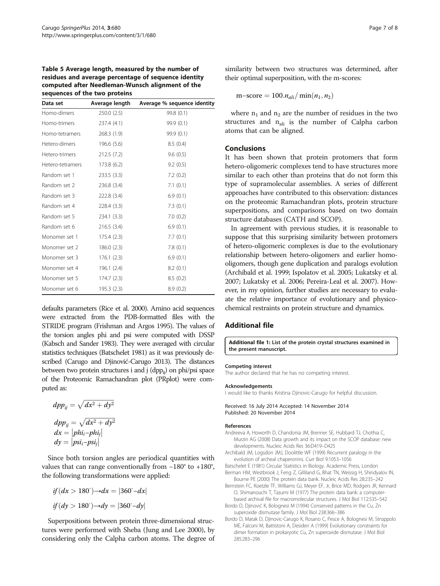<span id="page-6-0"></span>

| Table 5 Average length, measured by the number of    |  |  |
|------------------------------------------------------|--|--|
| residues and average percentage of sequence identity |  |  |
| computed after Needleman-Wunsch alignment of the     |  |  |
| sequences of the two proteins                        |  |  |

| Data set         | Average length | Average % sequence identity |
|------------------|----------------|-----------------------------|
| Homo-dimers      | 250.0(2.5)     | 99.8 (0.1)                  |
| Homo-trimers     | 237.4 (4.1)    | 99.9 (0.1)                  |
| Homo-tetramers   | 268.3 (1.9)    | 99.9 (0.1)                  |
| Hetero-dimers    | 196.6 (5.6)    | 8.5(0.4)                    |
| Hetero-trimers   | 212.5 (7.2)    | 9.6(0.5)                    |
| Hetero-tetramers | 173.8 (6.2)    | 9.2(0.5)                    |
| Random set 1     | 233.5(3.3)     | 7.2(0.2)                    |
| Random set 2     | 236.8(3.4)     | 7.1(0.1)                    |
| Random set 3     | 222.8 (3.4)    | 6.9(0.1)                    |
| Random set 4     | 228.4 (3.3)    | 7.3(0.1)                    |
| Random set 5     | 234.1(3.3)     | 7.0(0.2)                    |
| Random set 6     | 216.5(3.4)     | 6.9(0.1)                    |
| Monomer set 1    | 175.4(2.3)     | 7.7(0.1)                    |
| Monomer set 2    | 186.0(2.3)     | 7.8(0.1)                    |
| Monomer set 3    | 176.1(2.3)     | 6.9(0.1)                    |
| Monomer set 4    | 196.1(2.4)     | 8.2(0.1)                    |
| Monomer set 5    | 174.7(2.3)     | 8.5(0.2)                    |
| Monomer set 6    | 195.3 (2.3)    | 8.9(0.2)                    |

defaults parameters (Rice et al. [2000](#page-7-0)). Amino acid sequences were extracted from the PDB-formatted files with the STRIDE program (Frishman and Argos [1995](#page-7-0)). The values of the torsion angles phi and psi were computed with DSSP (Kabsch and Sander [1983\)](#page-7-0). They were averaged with circular statistics techniques (Batschelet 1981) as it was previously described (Carugo and Djinović-Carugo [2013](#page-7-0)). The distances between two protein structures i and j  $(dpp_{ii})$  on phi/psi space of the Proteomic Ramachandran plot (PRplot) were computed as:

$$
App_{ij} = \sqrt{dx^2 + dy^2}
$$
  
\n
$$
App_{ij} = \sqrt{dx^2 + dy^2}
$$
  
\n
$$
dx = |phi_i - phi_j|
$$
  
\n
$$
dy = |psi_i - psi_j|
$$

Since both torsion angles are periodical quantities with values that can range conventionally from −180° to +180°, the following transformations were applied:

$$
if (dx > 180^\circ) \rightarrow dx = |360^\circ - dx|
$$
  

$$
if (dy > 180^\circ) \rightarrow dy = |360^\circ - dy|
$$

Superpositions between protein three-dimensional structures were performed with Sheba (Jung and Lee [2000\)](#page-7-0), by considering only the Calpha carbon atoms. The degree of similarity between two structures was determined, after their optimal superposition, with the m-scores:

$$
m\text{-score} = 100.n_{ali}/\min(n_1, n_2)
$$

where  $n_1$  and  $n_2$  are the number of residues in the two structures and  $n_{\text{ali}}$  is the number of Calpha carbon atoms that can be aligned.

# Conclusions

It has been shown that protein protomers that form hetero-oligomeric complexes tend to have structures more similar to each other than proteins that do not form this type of supramolecular assemblies. A series of different approaches have contributed to this observation: distances on the proteomic Ramachandran plots, protein structure superpositions, and comparisons based on two domain structure databases (CATH and SCOP).

In agreement with previous studies, it is reasonable to suppose that this surprising similarity between protomers of hetero-oligomeric complexes is due to the evolutionary relationship between hetero-oligomers and earlier homooligomers, though gene duplication and paralogs evolution (Archibald et al. 1999; Ispolatov et al. [2005;](#page-7-0) Lukatsky et al. [2007;](#page-7-0) Lukatsky et al. [2006;](#page-7-0) Pereira-Leal et al. [2007\)](#page-7-0). However, in my opinion, further studies are necessary to evaluate the relative importance of evolutionary and physicochemical restraints on protein structure and dynamics.

## Additional file

[Additional file 1:](http://www.biomedcentral.com/content/supplementary/2193-1801-3-680-S1.docx) List of the protein crystal structures examined in the present manuscript.

#### Competing interest

The author declared that he has no competing interest.

#### Acknowledgements

I would like to thanks Kristina Djinovic-Carugo for helpful discussion.

#### Received: 16 July 2014 Accepted: 14 November 2014 Published: 20 November 2014

#### References

- Andreeva A, Howorth D, Chandonia JM, Brenner SE, Hubbard TJ, Chothia C, Murzin AG (2008) Data growth and its impact on the SCOP database: new developments. Nucleic Acids Res 36:D419–D425
- Archibald JM, Logsdon JMJ, Doolittle WF (1999) Recurrent paralogy in the evolution of archeal chaperonins. Curr Biol 9:1053–1056
- Batschelet E (1981) Circular Statistics in Biology. Academic Press, London Berman HM, Westbrook J, Feng Z, Gilliland G, Bhat TN, Weissig H, Shindyalov IN, Bourne PE (2000) The protein data bank. Nucleic Acids Res 28:235–242
- Bernstein FC, Koetzle TF, Williams GJ, Meyer EF, Jr, Brice MD, Rodgers JR, Kennard O, Shimanouchi T, Tasumi M (1977) The protein data bank: a computerbased archival file for macromolecular structures. J Mol Biol 112:535–542
- Bordo D, Djinović K, Bolognesi M (1994) Conserved patterns in the Cu, Zn superoxide dismutase family. J Mol Biol 238:366–386
- Bordo D, Matak D, Djinovic-Carugo K, Rosano C, Pesce A, Bolognesi M, Stroppolo ME, Falconi M, Battistoni A, Desideri A (1999) Evolutionary constraints for dimer formation in prokaryotic Cu, Zn superoxide dismutase. J Mol Biol 285:283–296